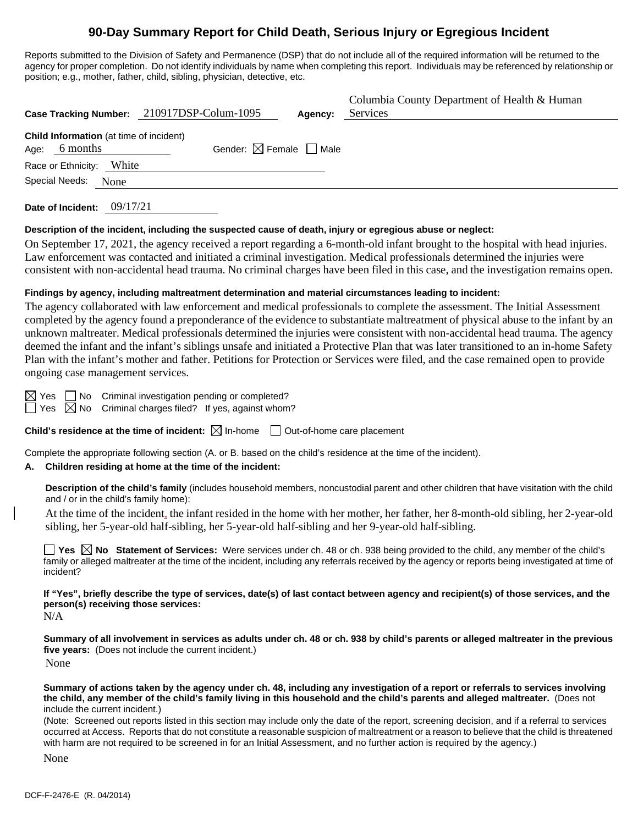# **90-Day Summary Report for Child Death, Serious Injury or Egregious Incident**

Reports submitted to the Division of Safety and Permanence (DSP) that do not include all of the required information will be returned to the agency for proper completion. Do not identify individuals by name when completing this report. Individuals may be referenced by relationship or position; e.g., mother, father, child, sibling, physician, detective, etc.

|                                                             | Case Tracking Number: 210917DSP-Colum-1095 | Agency: | Columbia County Department of Health & Human<br>Services |
|-------------------------------------------------------------|--------------------------------------------|---------|----------------------------------------------------------|
| Child Information (at time of incident)<br>6 months<br>Age: | Gender: $\boxtimes$ Female $\Box$ Male     |         |                                                          |
| White<br>Race or Ethnicity:<br>Special Needs:<br>None       |                                            |         |                                                          |
|                                                             |                                            |         |                                                          |

**Date of Incident:** 09/17/21

#### **Description of the incident, including the suspected cause of death, injury or egregious abuse or neglect:**

On September 17, 2021, the agency received a report regarding a 6-month-old infant brought to the hospital with head injuries. Law enforcement was contacted and initiated a criminal investigation. Medical professionals determined the injuries were consistent with non-accidental head trauma. No criminal charges have been filed in this case, and the investigation remains open.

#### **Findings by agency, including maltreatment determination and material circumstances leading to incident:**

The agency collaborated with law enforcement and medical professionals to complete the assessment. The Initial Assessment completed by the agency found a preponderance of the evidence to substantiate maltreatment of physical abuse to the infant by an unknown maltreater. Medical professionals determined the injuries were consistent with non-accidental head trauma. The agency deemed the infant and the infant's siblings unsafe and initiated a Protective Plan that was later transitioned to an in-home Safety Plan with the infant's mother and father. Petitions for Protection or Services were filed, and the case remained open to provide ongoing case management services.

 $\boxtimes$  Yes  $\Box$  No Criminal investigation pending or completed?  $\Box$  Yes  $\boxtimes$  No Criminal charges filed? If yes, against whom?

**Child's residence at the time of incident:**  $\boxtimes$  In-home  $\Box$  Out-of-home care placement

Complete the appropriate following section (A. or B. based on the child's residence at the time of the incident).

#### **A. Children residing at home at the time of the incident:**

**Description of the child's family** (includes household members, noncustodial parent and other children that have visitation with the child and / or in the child's family home):

At the time of the incident, the infant resided in the home with her mother, her father, her 8-month-old sibling, her 2-year-old sibling, her 5-year-old half-sibling, her 5-year-old half-sibling and her 9-year-old half-sibling.

**Yes No Statement of Services:** Were services under ch. 48 or ch. 938 being provided to the child, any member of the child's family or alleged maltreater at the time of the incident, including any referrals received by the agency or reports being investigated at time of incident?

**If "Yes", briefly describe the type of services, date(s) of last contact between agency and recipient(s) of those services, and the person(s) receiving those services:**

 $N/A$ 

**Summary of all involvement in services as adults under ch. 48 or ch. 938 by child's parents or alleged maltreater in the previous five years:** (Does not include the current incident.) None

**Summary of actions taken by the agency under ch. 48, including any investigation of a report or referrals to services involving the child, any member of the child's family living in this household and the child's parents and alleged maltreater.** (Does not include the current incident.)

(Note: Screened out reports listed in this section may include only the date of the report, screening decision, and if a referral to services occurred at Access. Reports that do not constitute a reasonable suspicion of maltreatment or a reason to believe that the child is threatened with harm are not required to be screened in for an Initial Assessment, and no further action is required by the agency.)

None